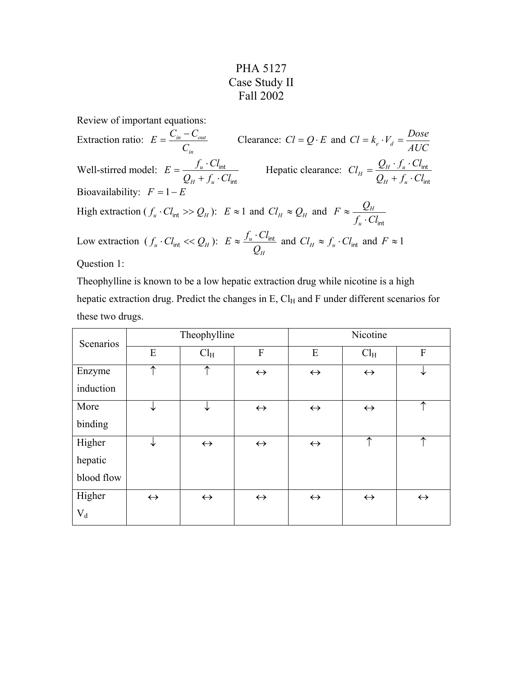## PHA 5127 Case Study II Fall 2002

Review of important equations:

Extraction ratio: *in in out C*  $E = \frac{C_{in} - C_{out}}{C_{out}}$  Clearance:  $Cl = Q \cdot E$  and  $Cl = k_e \cdot V_d = \frac{Dose}{AUC}$ Well-stirred model: int int  $Q_{\mu} + f_{\mu} \cdot Cl$  $E = \frac{f_u \cdot Cl}{r_u}$ *H u u*  $+ f_u$ .  $=\frac{f_u \cdot Cl_{int}}{q_u \cdot Cl_{int}}$  Hepatic clearance: int int  $Q_{\mu} + f_{\mu} \cdot Cl$  $Cl_H = \frac{Q_H \cdot f_u \cdot Cl}{\sqrt{Q_H \cdot f_u}}$ *H u*  $H = \frac{Q_H \cdot f_u}{Q_H + f_u}.$  $=\frac{Q_H\cdot f_u\cdot}{\sqrt{2}}$ Bioavailability:  $F = 1 - B$ High extraction ( $f_u \cdot Cl_{int} \gg Q_H$ ):  $E \approx 1$  and  $Cl_H \approx Q_H$  and  $f_u \cdot Cl_{\text{int}}$  $F \approx \frac{Q}{a}$ *u*  $\approx \frac{Q_H}{f_u \cdot C}$ Low extraction  $(f_u \cdot Cl_{int} \ll Q_H)$ : *H u*  $E \approx \frac{f_u \cdot Cl_{int}}{Q_H}$  and  $Cl_H \approx f_u \cdot Cl_{int}$  and  $F \approx 1$ Question 1:

Theophylline is known to be a low hepatic extraction drug while nicotine is a high hepatic extraction drug. Predict the changes in  $E$ ,  $Cl<sub>H</sub>$  and F under different scenarios for these two drugs.

| Scenarios  | Theophylline      |                   |                   | Nicotine          |                   |                   |
|------------|-------------------|-------------------|-------------------|-------------------|-------------------|-------------------|
|            | E                 | Cl <sub>H</sub>   | F                 | E                 | Cl <sub>H</sub>   | F                 |
| Enzyme     | ↑                 | $\uparrow$        | $\leftrightarrow$ | $\leftrightarrow$ | $\leftrightarrow$ | ↓                 |
| induction  |                   |                   |                   |                   |                   |                   |
| More       | ↓                 | ↓                 | $\leftrightarrow$ | $\leftrightarrow$ | $\leftrightarrow$ | $\uparrow$        |
| binding    |                   |                   |                   |                   |                   |                   |
| Higher     | ↓                 | $\leftrightarrow$ | $\leftrightarrow$ | $\leftrightarrow$ | ↑                 | ↑                 |
| hepatic    |                   |                   |                   |                   |                   |                   |
| blood flow |                   |                   |                   |                   |                   |                   |
| Higher     | $\leftrightarrow$ | $\leftrightarrow$ | $\leftrightarrow$ | $\leftrightarrow$ | $\leftrightarrow$ | $\leftrightarrow$ |
| $V_d$      |                   |                   |                   |                   |                   |                   |